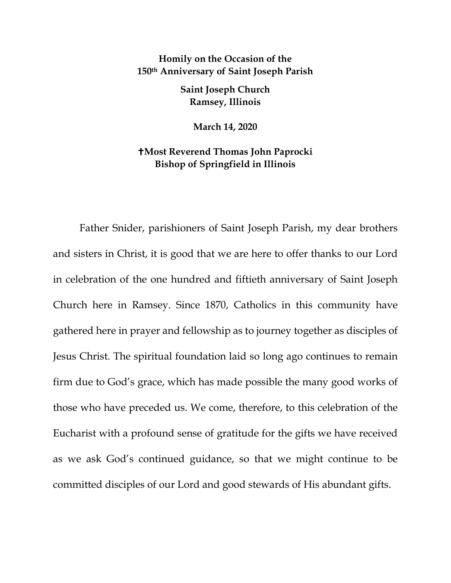## **Homily on the Occasion of the 150th Anniversary of Saint Joseph Parish**

**Saint Joseph Church Ramsey, Illinois**

**March 14, 2020**

## **Most Reverend Thomas John Paprocki Bishop of Springfield in Illinois**

Father Snider, parishioners of Saint Joseph Parish, my dear brothers and sisters in Christ, it is good that we are here to offer thanks to our Lord in celebration of the one hundred and fiftieth anniversary of Saint Joseph Church here in Ramsey. Since 1870, Catholics in this community have gathered here in prayer and fellowship as to journey together as disciples of Jesus Christ. The spiritual foundation laid so long ago continues to remain firm due to God's grace, which has made possible the many good works of those who have preceded us. We come, therefore, to this celebration of the Eucharist with a profound sense of gratitude for the gifts we have received as we ask God's continued guidance, so that we might continue to be committed disciples of our Lord and good stewards of His abundant gifts.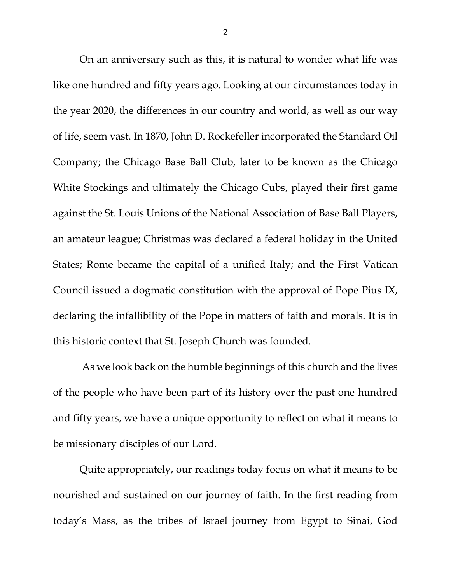On an anniversary such as this, it is natural to wonder what life was like one hundred and fifty years ago. Looking at our circumstances today in the year 2020, the differences in our country and world, as well as our way of life, seem vast. In 1870, John D. Rockefeller incorporated the Standard Oil Company; the Chicago Base Ball Club, later to be known as the Chicago White Stockings and ultimately the Chicago Cubs, played their first game against the St. Louis Unions of the National Association of Base Ball Players, an amateur league; Christmas was declared a federal holiday in the United States; Rome became the capital of a unified Italy; and the First Vatican Council issued a dogmatic constitution with the approval of Pope Pius IX, declaring the infallibility of the Pope in matters of faith and morals. It is in this historic context that St. Joseph Church was founded.

As we look back on the humble beginnings of this church and the lives of the people who have been part of its history over the past one hundred and fifty years, we have a unique opportunity to reflect on what it means to be missionary disciples of our Lord.

Quite appropriately, our readings today focus on what it means to be nourished and sustained on our journey of faith. In the first reading from today's Mass, as the tribes of Israel journey from Egypt to Sinai, God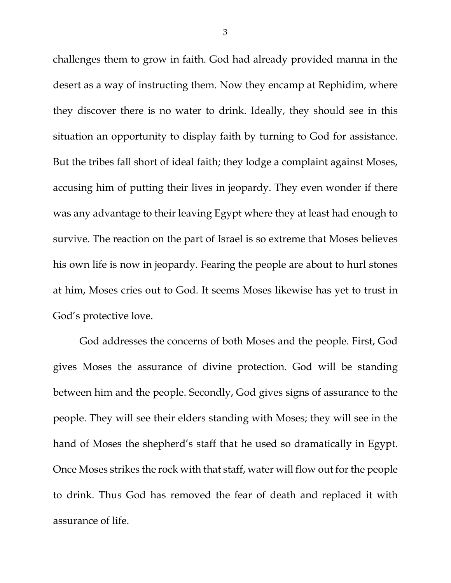challenges them to grow in faith. God had already provided manna in the desert as a way of instructing them. Now they encamp at Rephidim, where they discover there is no water to drink. Ideally, they should see in this situation an opportunity to display faith by turning to God for assistance. But the tribes fall short of ideal faith; they lodge a complaint against Moses, accusing him of putting their lives in jeopardy. They even wonder if there was any advantage to their leaving Egypt where they at least had enough to survive. The reaction on the part of Israel is so extreme that Moses believes his own life is now in jeopardy. Fearing the people are about to hurl stones at him, Moses cries out to God. It seems Moses likewise has yet to trust in God's protective love.

God addresses the concerns of both Moses and the people. First, God gives Moses the assurance of divine protection. God will be standing between him and the people. Secondly, God gives signs of assurance to the people. They will see their elders standing with Moses; they will see in the hand of Moses the shepherd's staff that he used so dramatically in Egypt. Once Moses strikes the rock with that staff, water will flow out for the people to drink. Thus God has removed the fear of death and replaced it with assurance of life.

3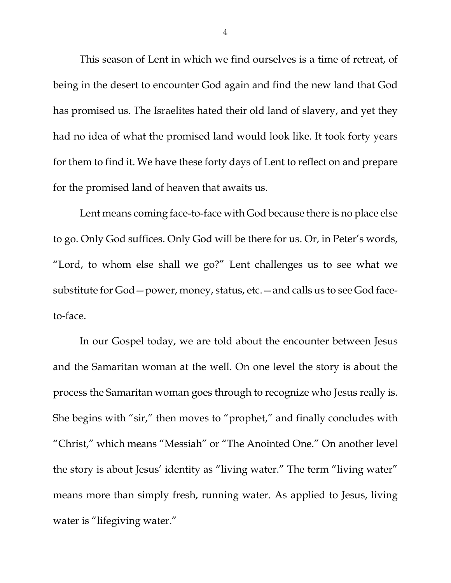This season of Lent in which we find ourselves is a time of retreat, of being in the desert to encounter God again and find the new land that God has promised us. The Israelites hated their old land of slavery, and yet they had no idea of what the promised land would look like. It took forty years for them to find it. We have these forty days of Lent to reflect on and prepare for the promised land of heaven that awaits us.

Lent means coming face-to-face with God because there is no place else to go. Only God suffices. Only God will be there for us. Or, in Peter's words, "Lord, to whom else shall we go?" Lent challenges us to see what we substitute for God—power, money, status, etc.—and calls us to see God faceto-face.

In our Gospel today, we are told about the encounter between Jesus and the Samaritan woman at the well. On one level the story is about the process the Samaritan woman goes through to recognize who Jesus really is. She begins with "sir," then moves to "prophet," and finally concludes with "Christ," which means "Messiah" or "The Anointed One." On another level the story is about Jesus' identity as "living water." The term "living water" means more than simply fresh, running water. As applied to Jesus, living water is "lifegiving water."

4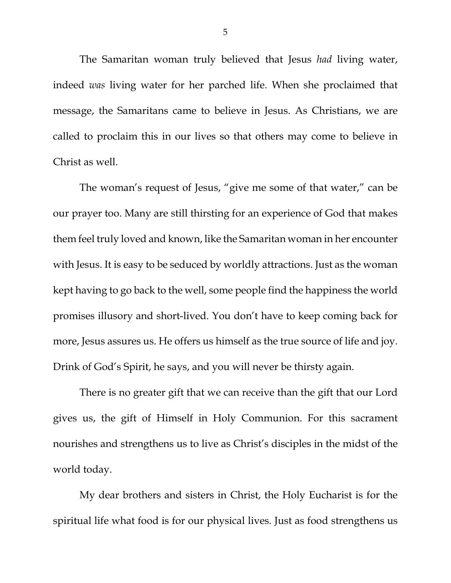The Samaritan woman truly believed that Jesus *had* living water, indeed *was* living water for her parched life. When she proclaimed that message, the Samaritans came to believe in Jesus. As Christians, we are called to proclaim this in our lives so that others may come to believe in Christ as well.

The woman's request of Jesus, "give me some of that water," can be our prayer too. Many are still thirsting for an experience of God that makes them feel truly loved and known, like the Samaritan woman in her encounter with Jesus. It is easy to be seduced by worldly attractions. Just as the woman kept having to go back to the well, some people find the happiness the world promises illusory and short-lived. You don't have to keep coming back for more, Jesus assures us. He offers us himself as the true source of life and joy. Drink of God's Spirit, he says, and you will never be thirsty again.

There is no greater gift that we can receive than the gift that our Lord gives us, the gift of Himself in Holy Communion. For this sacrament nourishes and strengthens us to live as Christ's disciples in the midst of the world today.

My dear brothers and sisters in Christ, the Holy Eucharist is for the spiritual life what food is for our physical lives. Just as food strengthens us

5